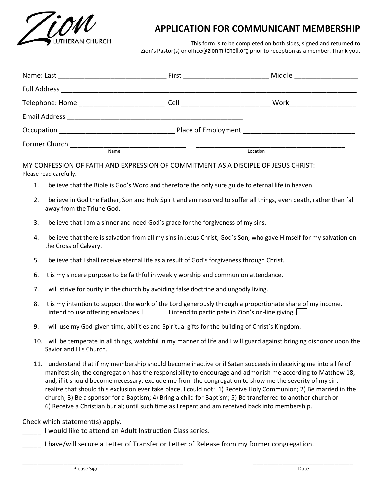

## **APPLICATION FOR COMMUNICANT MEMBERSHIP**

This form is to be completed on both sides, signed and returned to Zion's Pastor(s) or office[@zionmitchell.org](mailto:office@zionmitchell.org) prior to reception as a member. Thank you.

|                                                                                                                                                                                                                                | First _________________                                         | Middle <u>___________</u> |
|--------------------------------------------------------------------------------------------------------------------------------------------------------------------------------------------------------------------------------|-----------------------------------------------------------------|---------------------------|
| <b>Full Address</b>                                                                                                                                                                                                            |                                                                 |                           |
| Telephone: Home ______________________                                                                                                                                                                                         | Cell _______________                                            | Work                      |
| Email Address and the contract of the contract of the contract of the contract of the contract of the contract of the contract of the contract of the contract of the contract of the contract of the contract of the contract |                                                                 |                           |
| Occupation                                                                                                                                                                                                                     | Place of Employment Changes and Changes and Place of Employment |                           |
| Former Church<br>Name                                                                                                                                                                                                          | Location                                                        |                           |

MY CONFESSION OF FAITH AND EXPRESSION OF COMMITMENT AS A DISCIPLE OF JESUS CHRIST: Please read carefully.

- 1. I believe that the Bible is God's Word and therefore the only sure guide to eternal life in heaven.
- 2. I believe in God the Father, Son and Holy Spirit and am resolved to suffer all things, even death, rather than fall away from the Triune God.
- 3. I believe that I am a sinner and need God's grace for the forgiveness of my sins.
- 4. I believe that there is salvation from all my sins in Jesus Christ, God's Son, who gave Himself for my salvation on the Cross of Calvary.
- 5. I believe that I shall receive eternal life as a result of God's forgiveness through Christ.
- 6. It is my sincere purpose to be faithful in weekly worship and communion attendance.
- 7. I will strive for purity in the church by avoiding false doctrine and ungodly living.
- 8. It is my intention to support the work of the Lord generously through a proportionate share of my income. I intend to use offering envelopes. I intend to participate in Zion's on-line giving.
- 9. I will use my God-given time, abilities and Spiritual gifts for the building of Christ's Kingdom.
- 10. I will be temperate in all things, watchful in my manner of life and I will guard against bringing dishonor upon the Savior and His Church.
- 11. I understand that if my membership should become inactive or if Satan succeeds in deceiving me into a life of manifest sin, the congregation has the responsibility to encourage and admonish me according to Matthew 18, and, if it should become necessary, exclude me from the congregation to show me the severity of my sin. I realize that should this exclusion ever take place, I could not: 1) Receive Holy Communion; 2) Be married in the church; 3) Be a sponsor for a Baptism; 4) Bring a child for Baptism; 5) Be transferred to another church or 6) Receive a Christian burial; until such time as I repent and am received back into membership.

## Check which statement(s) apply.

I would like to attend an Adult Instruction Class series.

I have/will secure a Letter of Transfer or Letter of Release from my former congregation.

\_\_\_\_\_\_\_\_\_\_\_\_\_\_\_\_\_\_\_\_\_\_\_\_\_\_\_\_\_\_\_\_\_\_\_\_\_\_\_\_\_\_\_ \_\_\_\_\_\_\_\_\_\_\_\_\_\_\_\_\_\_\_\_\_\_\_\_\_\_\_